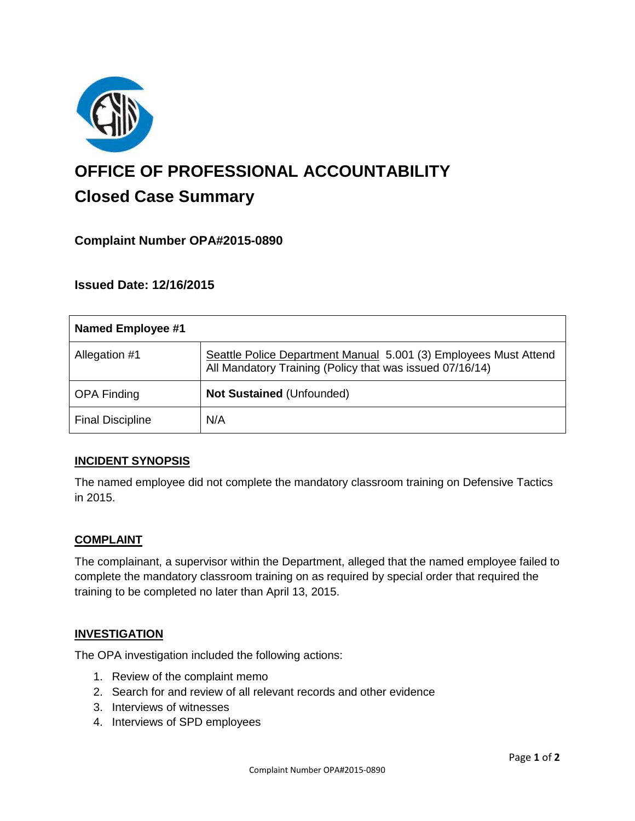

# **OFFICE OF PROFESSIONAL ACCOUNTABILITY Closed Case Summary**

# **Complaint Number OPA#2015-0890**

# **Issued Date: 12/16/2015**

| <b>Named Employee #1</b> |                                                                                                                              |
|--------------------------|------------------------------------------------------------------------------------------------------------------------------|
| Allegation #1            | Seattle Police Department Manual 5.001 (3) Employees Must Attend<br>All Mandatory Training (Policy that was issued 07/16/14) |
| <b>OPA Finding</b>       | <b>Not Sustained (Unfounded)</b>                                                                                             |
| <b>Final Discipline</b>  | N/A                                                                                                                          |

### **INCIDENT SYNOPSIS**

The named employee did not complete the mandatory classroom training on Defensive Tactics in 2015.

### **COMPLAINT**

The complainant, a supervisor within the Department, alleged that the named employee failed to complete the mandatory classroom training on as required by special order that required the training to be completed no later than April 13, 2015.

#### **INVESTIGATION**

The OPA investigation included the following actions:

- 1. Review of the complaint memo
- 2. Search for and review of all relevant records and other evidence
- 3. Interviews of witnesses
- 4. Interviews of SPD employees